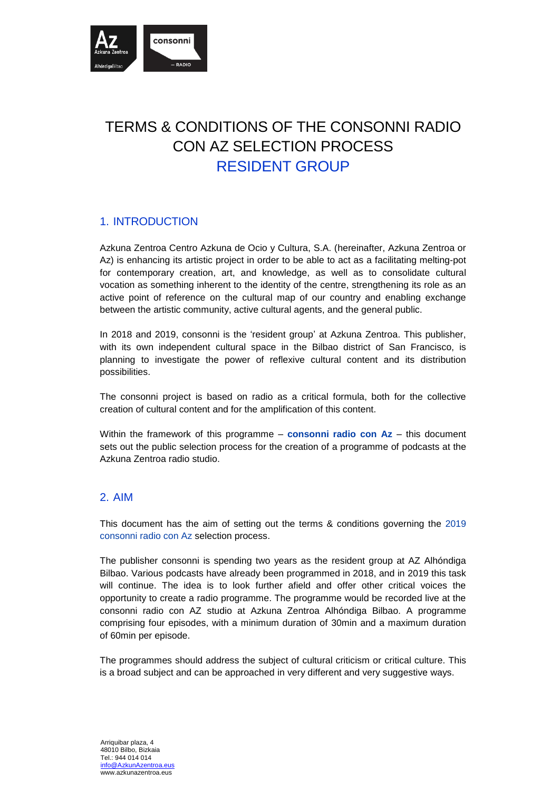

# TERMS & CONDITIONS OF THE CONSONNI RADIO CON AZ SELECTION PROCESS RESIDENT GROUP

## 1. INTRODUCTION

Azkuna Zentroa Centro Azkuna de Ocio y Cultura, S.A. (hereinafter, Azkuna Zentroa or Az) is enhancing its artistic project in order to be able to act as a facilitating melting-pot for contemporary creation, art, and knowledge, as well as to consolidate cultural vocation as something inherent to the identity of the centre, strengthening its role as an active point of reference on the cultural map of our country and enabling exchange between the artistic community, active cultural agents, and the general public.

In 2018 and 2019, consonni is the 'resident group' at Azkuna Zentroa. This publisher, with its own independent cultural space in the Bilbao district of San Francisco, is planning to investigate the power of reflexive cultural content and its distribution possibilities.

The consonni project is based on radio as a critical formula, both for the collective creation of cultural content and for the amplification of this content.

Within the framework of this programme – **consonni radio con Az** – this document sets out the public selection process for the creation of a programme of podcasts at the Azkuna Zentroa radio studio.

#### 2. AIM

This document has the aim of setting out the terms & conditions governing the 2019 consonni radio con Az selection process.

The publisher consonni is spending two years as the resident group at AZ Alhóndiga Bilbao. Various podcasts have already been programmed in 2018, and in 2019 this task will continue. The idea is to look further afield and offer other critical voices the opportunity to create a radio programme. The programme would be recorded live at the consonni radio con AZ studio at Azkuna Zentroa Alhóndiga Bilbao. A programme comprising four episodes, with a minimum duration of 30min and a maximum duration of 60min per episode.

The programmes should address the subject of cultural criticism or critical culture. This is a broad subject and can be approached in very different and very suggestive ways.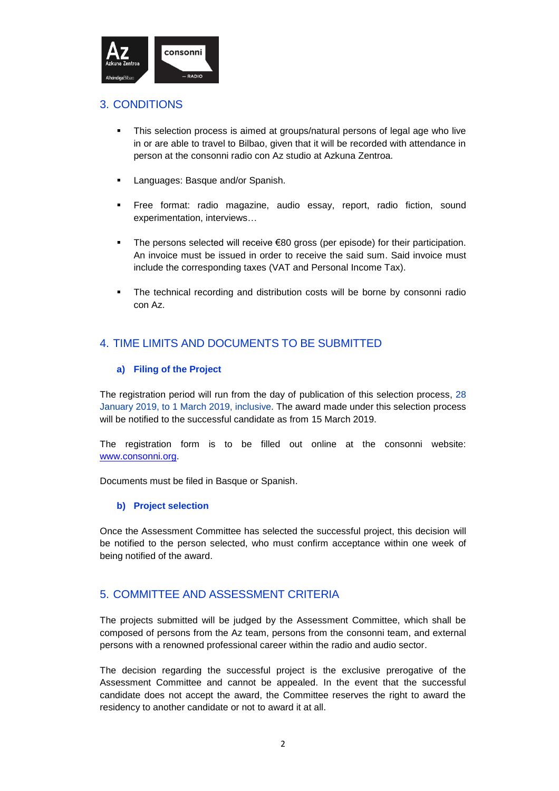

## 3. CONDITIONS

- This selection process is aimed at groups/natural persons of legal age who live in or are able to travel to Bilbao, given that it will be recorded with attendance in person at the consonni radio con Az studio at Azkuna Zentroa.
- **Languages: Basque and/or Spanish.**
- **Free format: radio magazine, audio essay, report, radio fiction, sound** experimentation, interviews…
- The persons selected will receive €80 gross (per episode) for their participation. An invoice must be issued in order to receive the said sum. Said invoice must include the corresponding taxes (VAT and Personal Income Tax).
- The technical recording and distribution costs will be borne by consonni radio con Az.

## 4. TIME LIMITS AND DOCUMENTS TO BE SUBMITTED

#### **a) Filing of the Project**

The registration period will run from the day of publication of this selection process, 28 January 2019, to 1 March 2019, inclusive. The award made under this selection process will be notified to the successful candidate as from 15 March 2019.

The registration form is to be filled out online at the consonni website: [www.consonni.org.](http://www.consonni.org/)

Documents must be filed in Basque or Spanish.

#### **b) Project selection**

Once the Assessment Committee has selected the successful project, this decision will be notified to the person selected, who must confirm acceptance within one week of being notified of the award.

### 5. COMMITTEE AND ASSESSMENT CRITERIA

The projects submitted will be judged by the Assessment Committee, which shall be composed of persons from the Az team, persons from the consonni team, and external persons with a renowned professional career within the radio and audio sector.

The decision regarding the successful project is the exclusive prerogative of the Assessment Committee and cannot be appealed. In the event that the successful candidate does not accept the award, the Committee reserves the right to award the residency to another candidate or not to award it at all.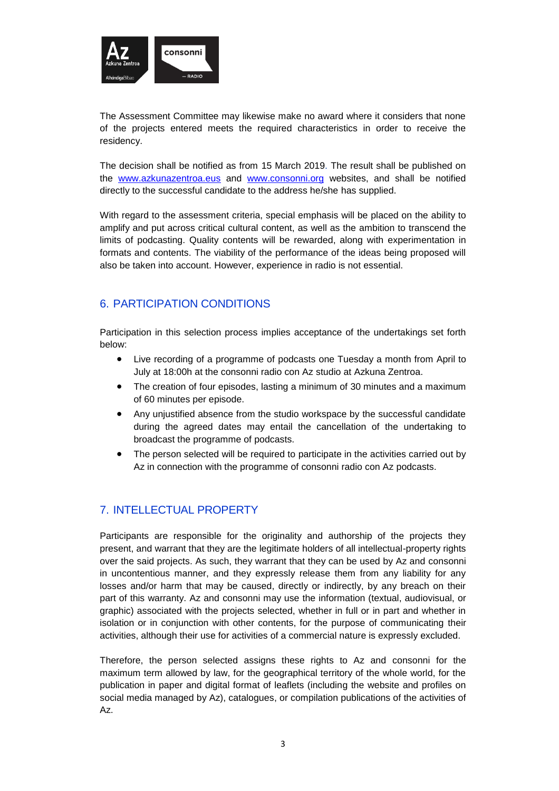

The Assessment Committee may likewise make no award where it considers that none of the projects entered meets the required characteristics in order to receive the residency.

The decision shall be notified as from 15 March 2019. The result shall be published on the [www.azkunazentroa.eus](http://www.azkunazentroa.eus/) and [www.consonni.org](http://www.consonni.org/) websites, and shall be notified directly to the successful candidate to the address he/she has supplied.

With regard to the assessment criteria, special emphasis will be placed on the ability to amplify and put across critical cultural content, as well as the ambition to transcend the limits of podcasting. Quality contents will be rewarded, along with experimentation in formats and contents. The viability of the performance of the ideas being proposed will also be taken into account. However, experience in radio is not essential.

### 6. PARTICIPATION CONDITIONS

Participation in this selection process implies acceptance of the undertakings set forth below:

- Live recording of a programme of podcasts one Tuesday a month from April to July at 18:00h at the consonni radio con Az studio at Azkuna Zentroa.
- The creation of four episodes, lasting a minimum of 30 minutes and a maximum of 60 minutes per episode.
- Any unjustified absence from the studio workspace by the successful candidate during the agreed dates may entail the cancellation of the undertaking to broadcast the programme of podcasts.
- The person selected will be required to participate in the activities carried out by Az in connection with the programme of consonni radio con Az podcasts.

# 7. INTELLECTUAL PROPERTY

Participants are responsible for the originality and authorship of the projects they present, and warrant that they are the legitimate holders of all intellectual-property rights over the said projects. As such, they warrant that they can be used by Az and consonni in uncontentious manner, and they expressly release them from any liability for any losses and/or harm that may be caused, directly or indirectly, by any breach on their part of this warranty. Az and consonni may use the information (textual, audiovisual, or graphic) associated with the projects selected, whether in full or in part and whether in isolation or in conjunction with other contents, for the purpose of communicating their activities, although their use for activities of a commercial nature is expressly excluded.

Therefore, the person selected assigns these rights to Az and consonni for the maximum term allowed by law, for the geographical territory of the whole world, for the publication in paper and digital format of leaflets (including the website and profiles on social media managed by Az), catalogues, or compilation publications of the activities of Az.